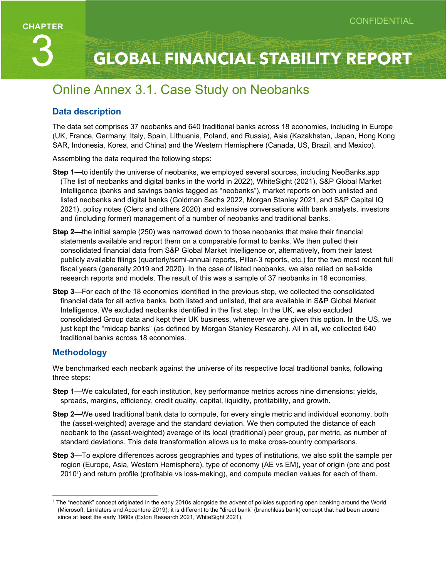

# Online Annex 3.1. Case Study on Neobanks

## **Data description**

The data set comprises 37 neobanks and 640 traditional banks across 18 economies, including in Europe (UK, France, Germany, Italy, Spain, Lithuania, Poland, and Russia), Asia (Kazakhstan, Japan, Hong Kong SAR, Indonesia, Korea, and China) and the Western Hemisphere (Canada, US, Brazil, and Mexico).

Assembling the data required the following steps:

- **Step 1—**to identify the universe of neobanks, we employed several sources, including NeoBanks.app (The list of neobanks and digital banks in the world in 2022), WhiteSight (2021), S&P Global Market Intelligence (banks and savings banks tagged as "neobanks"), market reports on both unlisted and listed neobanks and digital banks (Goldman Sachs 2022, Morgan Stanley 2021, and S&P Capital IQ 2021), policy notes (Clerc and others 2020) and extensive conversations with bank analysts, investors and (including former) management of a number of neobanks and traditional banks.
- **Step 2—**the initial sample (250) was narrowed down to those neobanks that make their financial statements available and report them on a comparable format to banks. We then pulled their consolidated financial data from S&P Global Market Intelligence or, alternatively, from their latest publicly available filings (quarterly/semi-annual reports, Pillar-3 reports, etc.) for the two most recent full fiscal years (generally 2019 and 2020). In the case of listed neobanks, we also relied on sell-side research reports and models. The result of this was a sample of 37 neobanks in 18 economies.
- **Step 3—**For each of the 18 economies identified in the previous step, we collected the consolidated financial data for all active banks, both listed and unlisted, that are available in S&P Global Market Intelligence. We excluded neobanks identified in the first step. In the UK, we also excluded consolidated Group data and kept their UK business, whenever we are given this option. In the US, we just kept the "midcap banks" (as defined by Morgan Stanley Research). All in all, we collected 640 traditional banks across 18 economies.

## **Methodology**

We benchmarked each neobank against the universe of its respective local traditional banks, following three steps:

- **Step 1—**We calculated, for each institution, key performance metrics across nine dimensions: yields, spreads, margins, efficiency, credit quality, capital, liquidity, profitability, and growth.
- **Step 2—**We used traditional bank data to compute, for every single metric and individual economy, both the (asset-weighted) average and the standard deviation. We then computed the distance of each neobank to the (asset-weighted) average of its local (traditional) peer group, per metric, as number of standard deviations. This data transformation allows us to make cross-country comparisons.
- **Step 3—**To explore differences across geographies and types of institutions, we also split the sample per region (Europe, Asia, Western Hemisphere), type of economy (AE vs EM), year of origin (pre and post 20101 ) and return profile (profitable vs loss-making), and compute median values for each of them.

<sup>1</sup> The "neobank" concept originated in the early 2010s alongside the advent of policies supporting open banking around the World (Microsoft, Linklaters and Accenture 2019); it is different to the "direct bank" (branchless bank) concept that had been around since at least the early 1980s (Exton Research 2021, WhiteSight 2021).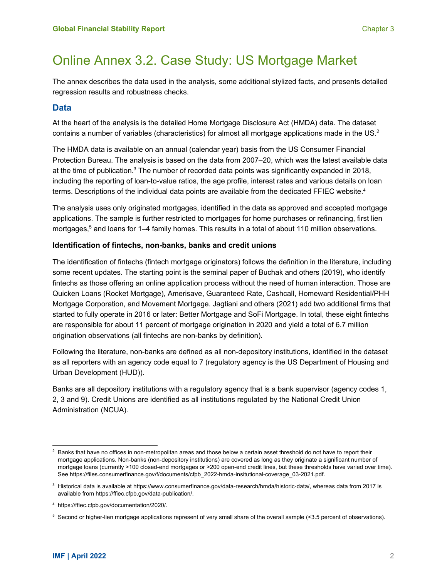# Online Annex 3.2. Case Study: US Mortgage Market

The annex describes the data used in the analysis, some additional stylized facts, and presents detailed regression results and robustness checks.

## **Data**

At the heart of the analysis is the detailed Home Mortgage Disclosure Act (HMDA) data. The dataset contains a number of variables (characteristics) for almost all mortgage applications made in the US.<sup>2</sup>

The HMDA data is available on an annual (calendar year) basis from the US Consumer Financial Protection Bureau. The analysis is based on the data from 2007–20, which was the latest available data at the time of publication.3 The number of recorded data points was significantly expanded in 2018, including the reporting of loan-to-value ratios, the age profile, interest rates and various details on loan terms. Descriptions of the individual data points are available from the dedicated FFIEC website.<sup>4</sup>

The analysis uses only originated mortgages, identified in the data as approved and accepted mortgage applications. The sample is further restricted to mortgages for home purchases or refinancing, first lien mortgages,<sup>5</sup> and loans for 1–4 family homes. This results in a total of about 110 million observations.

### **Identification of fintechs, non-banks, banks and credit unions**

The identification of fintechs (fintech mortgage originators) follows the definition in the literature, including some recent updates. The starting point is the seminal paper of Buchak and others (2019), who identify fintechs as those offering an online application process without the need of human interaction. Those are Quicken Loans (Rocket Mortgage), Amerisave, Guaranteed Rate, Cashcall, Homeward Residential/PHH Mortgage Corporation, and Movement Mortgage. Jagtiani and others (2021) add two additional firms that started to fully operate in 2016 or later: Better Mortgage and SoFi Mortgage. In total, these eight fintechs are responsible for about 11 percent of mortgage origination in 2020 and yield a total of 6.7 million origination observations (all fintechs are non-banks by definition).

Following the literature, non-banks are defined as all non-depository institutions, identified in the dataset as all reporters with an agency code equal to 7 (regulatory agency is the US Department of Housing and Urban Development (HUD)).

Banks are all depository institutions with a regulatory agency that is a bank supervisor (agency codes 1, 2, 3 and 9). Credit Unions are identified as all institutions regulated by the National Credit Union Administration (NCUA).

 $^2$  Banks that have no offices in non-metropolitan areas and those below a certain asset threshold do not have to report their mortgage applications. Non-banks (non-depository institutions) are covered as long as they originate a significant number of mortgage loans (currently >100 closed-end mortgages or >200 open-end credit lines, but these thresholds have varied over time). See https://files.consumerfinance.gov/f/documents/cfpb\_2022-hmda-insitutional-coverage\_03-2021.pdf.

 $^3\,$  Historical data is available at https://www.consumerfinance.gov/data-research/hmda/historic-data/, whereas data from 2017 is available from https://ffiec.cfpb.gov/data-publication/.

<sup>4</sup> https://ffiec.cfpb.gov/documentation/2020/.

<sup>5</sup> Second or higher-lien mortgage applications represent of very small share of the overall sample (<3.5 percent of observations).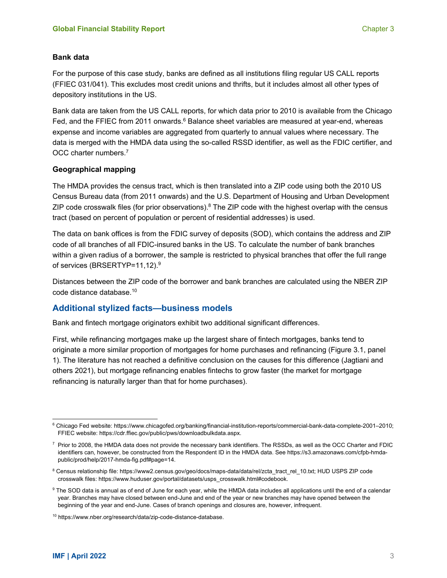#### **Bank data**

For the purpose of this case study, banks are defined as all institutions filing regular US CALL reports (FFIEC 031/041). This excludes most credit unions and thrifts, but it includes almost all other types of depository institutions in the US.

Bank data are taken from the US CALL reports, for which data prior to 2010 is available from the Chicago Fed, and the FFIEC from 2011 onwards.<sup>6</sup> Balance sheet variables are measured at year-end, whereas expense and income variables are aggregated from quarterly to annual values where necessary. The data is merged with the HMDA data using the so-called RSSD identifier, as well as the FDIC certifier, and OCC charter numbers.7

#### **Geographical mapping**

The HMDA provides the census tract, which is then translated into a ZIP code using both the 2010 US Census Bureau data (from 2011 onwards) and the U.S. Department of Housing and Urban Development ZIP code crosswalk files (for prior observations).<sup>8</sup> The ZIP code with the highest overlap with the census tract (based on percent of population or percent of residential addresses) is used.

The data on bank offices is from the FDIC survey of deposits (SOD), which contains the address and ZIP code of all branches of all FDIC-insured banks in the US. To calculate the number of bank branches within a given radius of a borrower, the sample is restricted to physical branches that offer the full range of services (BRSERTYP=11,12).9

Distances between the ZIP code of the borrower and bank branches are calculated using the NBER ZIP code distance database.10

## **Additional stylized facts—business models**

Bank and fintech mortgage originators exhibit two additional significant differences.

First, while refinancing mortgages make up the largest share of fintech mortgages, banks tend to originate a more similar proportion of mortgages for home purchases and refinancing (Figure 3.1, panel 1). The literature has not reached a definitive conclusion on the causes for this difference (Jagtiani and others 2021), but mortgage refinancing enables fintechs to grow faster (the market for mortgage refinancing is naturally larger than that for home purchases).

 $^6$  Chicago Fed website: https://www.chicagofed.org/banking/financial-institution-reports/commercial-bank-data-complete-2001–2010; FFIEC website: https://cdr.ffiec.gov/public/pws/downloadbulkdata.aspx.

 $^7$  Prior to 2008, the HMDA data does not provide the necessary bank identifiers. The RSSDs, as well as the OCC Charter and FDIC identifiers can, however, be constructed from the Respondent ID in the HMDA data. See https://s3.amazonaws.com/cfpb-hmdapublic/prod/help/2017-hmda-fig.pdf#page=14.

<sup>8</sup> Census relationship file: https://www2.census.gov/geo/docs/maps-data/data/rel/zcta\_tract\_rel\_10.txt; HUD USPS ZIP code crosswalk files: https://www.huduser.gov/portal/datasets/usps\_crosswalk.html#codebook.

 $^9$  The SOD data is annual as of end of June for each year, while the HMDA data includes all applications until the end of a calendar year. Branches may have closed between end-June and end of the year or new branches may have opened between the beginning of the year and end-June. Cases of branch openings and closures are, however, infrequent.

<sup>10</sup> https://www.nber.org/research/data/zip-code-distance-database.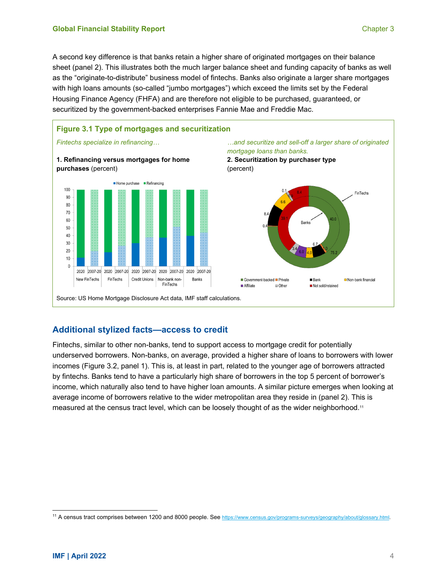A second key difference is that banks retain a higher share of originated mortgages on their balance sheet (panel 2). This illustrates both the much larger balance sheet and funding capacity of banks as well as the "originate-to-distribute" business model of fintechs. Banks also originate a larger share mortgages with high loans amounts (so-called "jumbo mortgages") which exceed the limits set by the Federal Housing Finance Agency (FHFA) and are therefore not eligible to be purchased, guaranteed, or securitized by the government-backed enterprises Fannie Mae and Freddie Mac.



## **Additional stylized facts—access to credit**

Fintechs, similar to other non-banks, tend to support access to mortgage credit for potentially underserved borrowers. Non-banks, on average, provided a higher share of loans to borrowers with lower incomes (Figure 3.2, panel 1). This is, at least in part, related to the younger age of borrowers attracted by fintechs. Banks tend to have a particularly high share of borrowers in the top 5 percent of borrower's income, which naturally also tend to have higher loan amounts. A similar picture emerges when looking at average income of borrowers relative to the wider metropolitan area they reside in (panel 2). This is measured at the census tract level, which can be loosely thought of as the wider neighborhood.<sup>11</sup>

<sup>&</sup>lt;sup>11</sup> A census tract comprises between 1200 and 8000 people. See https://www.census.gov/programs-surveys/geography/about/glossary.html.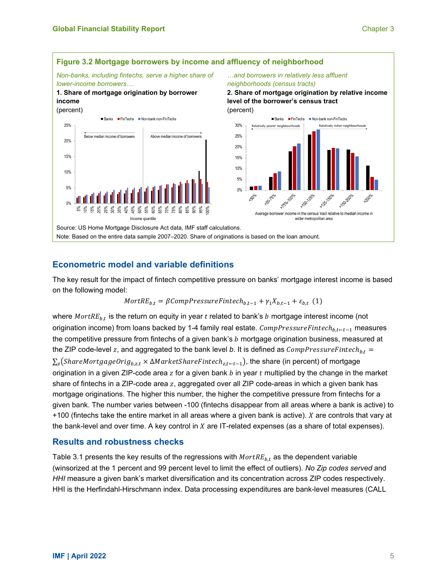

## **Econometric model and variable definitions**

The key result for the impact of fintech competitive pressure on banks' mortgage interest income is based on the following model:

$$
MortRE_{b,t} = \beta CompPressureFinitech_{b,t-1} + \gamma_1 X_{b,t-1} + \varepsilon_{b,t} (1)
$$

where  $MortRE_{b,t}$  is the return on equity in year t related to bank's  $b$  mortgage interest income (not origination income) from loans backed by 1-4 family real estate.  $CompPressureFinitech_{b.t-t-1}$  measures the competitive pressure from fintechs of a given bank's  $b$  mortgage origination business, measured at the ZIP code-level z, and aggregated to the bank level *b*. It is defined as  $CompPressureFinite<sub>ht</sub> =$  $\Sigma_z(ShareMortgageOrig_{b,z,t}\times \Delta MarketShareFinitech_{z,t\leftarrow t-1})$ , the share (in percent) of mortgage origination in a given ZIP-code area  $z$  for a given bank  $b$  in year  $t$  multiplied by the change in the market share of fintechs in a ZIP-code area  $z$ , aggregated over all ZIP code-areas in which a given bank has mortgage originations. The higher this number, the higher the competitive pressure from fintechs for a given bank. The number varies between -100 (fintechs disappear from all areas where a bank is active) to  $+100$  (fintechs take the entire market in all areas where a given bank is active). *X* are controls that vary at the bank-level and over time. A key control in  $X$  are IT-related expenses (as a share of total expenses).

## **Results and robustness checks**

Table 3.1 presents the key results of the regressions with  $MortRE_{b,t}$  as the dependent variable (winsorized at the 1 percent and 99 percent level to limit the effect of outliers). *No Zip codes served* and *HHI* measure a given bank's market diversification and its concentration across ZIP codes respectively. HHI is the Herfindahl-Hirschmann index. Data processing expenditures are bank-level measures (CALL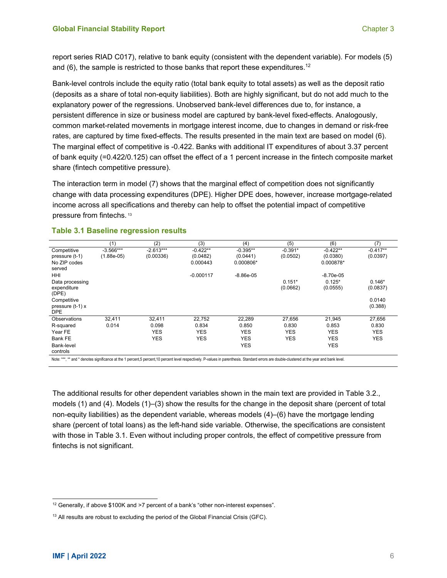report series RIAD C017), relative to bank equity (consistent with the dependent variable). For models (5) and (6), the sample is restricted to those banks that report these expenditures.<sup>12</sup>

Bank-level controls include the equity ratio (total bank equity to total assets) as well as the deposit ratio (deposits as a share of total non-equity liabilities). Both are highly significant, but do not add much to the explanatory power of the regressions. Unobserved bank-level differences due to, for instance, a persistent difference in size or business model are captured by bank-level fixed-effects. Analogously, common market-related movements in mortgage interest income, due to changes in demand or risk-free rates, are captured by time fixed-effects. The results presented in the main text are based on model (6). The marginal effect of competitive is -0.422. Banks with additional IT expenditures of about 3.37 percent of bank equity (=0.422/0.125) can offset the effect of a 1 percent increase in the fintech composite market share (fintech competitive pressure).

The interaction term in model (7) shows that the marginal effect of competition does not significantly change with data processing expenditures (DPE). Higher DPE does, however, increase mortgage-related income across all specifications and thereby can help to offset the potential impact of competitive pressure from fintechs. 13

|                    | (1)          | (2)         | (3)         | (4)         | (5)        | (6)         | (7)        |
|--------------------|--------------|-------------|-------------|-------------|------------|-------------|------------|
| Competitive        | $-3.566***$  | $-2.613***$ | $-0.422**$  | $-0.395**$  | $-0.391*$  | $-0.422**$  | $-0.417**$ |
| pressure (t-1)     | $(1.88e-05)$ | (0.00336)   | (0.0482)    | (0.0441)    | (0.0502)   | (0.0380)    | (0.0397)   |
| No ZIP codes       |              |             | 0.000443    | 0.000806*   |            | 0.000878*   |            |
| served             |              |             |             |             |            |             |            |
| <b>HHI</b>         |              |             | $-0.000117$ | $-8.86e-05$ |            | $-8.70e-05$ |            |
| Data processing    |              |             |             |             | $0.151*$   | $0.125*$    | $0.146*$   |
| expenditure        |              |             |             |             | (0.0662)   | (0.0555)    | (0.0837)   |
| (DPE)              |              |             |             |             |            |             |            |
| Competitive        |              |             |             |             |            |             | 0.0140     |
| pressure $(t-1)$ x |              |             |             |             |            |             | (0.388)    |
| <b>DPE</b>         |              |             |             |             |            |             |            |
| Observations       | 32,411       | 32,411      | 22,752      | 22,289      | 27,656     | 21,945      | 27,656     |
| R-squared          | 0.014        | 0.098       | 0.834       | 0.850       | 0.830      | 0.853       | 0.830      |
| Year FE            |              | <b>YES</b>  | <b>YES</b>  | <b>YES</b>  | <b>YES</b> | <b>YES</b>  | <b>YES</b> |
| Bank FE            |              | <b>YES</b>  | <b>YES</b>  | <b>YES</b>  | <b>YES</b> | <b>YES</b>  | <b>YES</b> |
| Bank-level         |              |             |             | <b>YES</b>  |            | <b>YES</b>  |            |
| controls           |              |             |             |             |            |             |            |

#### **Table 3.1 Baseline regression results**

Note: \*\*\*, \*\* and \* denotes significance at the 1 percent,5 percent,10 percent level respectively. P-values in parenthesis. Standard errors are double-clustered at the year and bank level.

The additional results for other dependent variables shown in the main text are provided in Table 3.2., models (1) and (4). Models (1)–(3) show the results for the change in the deposit share (percent of total non-equity liabilities) as the dependent variable, whereas models (4)–(6) have the mortgage lending share (percent of total loans) as the left-hand side variable. Otherwise, the specifications are consistent with those in Table 3.1. Even without including proper controls, the effect of competitive pressure from fintechs is not significant.

 $12$  Generally, if above \$100K and >7 percent of a bank's "other non-interest expenses".

<sup>&</sup>lt;sup>13</sup> All results are robust to excluding the period of the Global Financial Crisis (GFC).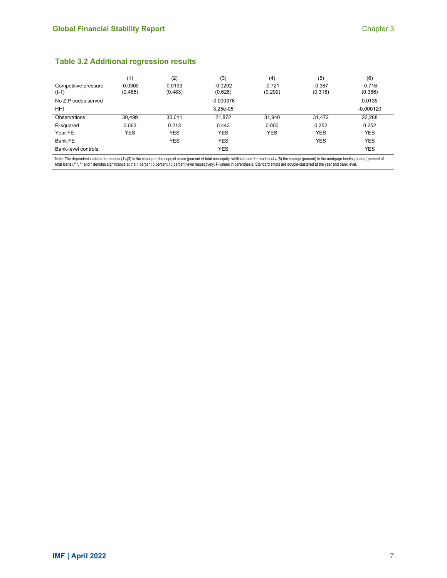|                               |                      | (2)               | (3)                  | (4)                 | (5)                 | (6)                 |
|-------------------------------|----------------------|-------------------|----------------------|---------------------|---------------------|---------------------|
| Competitive pressure<br>(t-1) | $-0.0300$<br>(0.485) | 0.0193<br>(0.483) | $-0.0292$<br>(0.626) | $-0.721$<br>(0.299) | $-0.387$<br>(0.318) | $-0.716$<br>(0.386) |
| No ZIP codes served           |                      |                   | $-0.000376$          |                     |                     | 0.0135              |
| <b>HHI</b>                    |                      |                   | 3.25e-05             |                     |                     | $-0.000120$         |
| Observations                  | 30,499               | 30,011            | 21,872               | 31,940              | 31,472              | 22,288              |
| R-squared                     | 0.063                | 0.213             | 0.443                | 0.000               | 0.252               | 0.252               |
| Year FE                       | <b>YES</b>           | <b>YES</b>        | <b>YES</b>           | <b>YES</b>          | <b>YES</b>          | <b>YES</b>          |
| Bank FE                       |                      | <b>YES</b>        | <b>YES</b>           |                     | <b>YES</b>          | <b>YES</b>          |
| Bank-level controls           |                      |                   | <b>YES</b>           |                     |                     | <b>YES</b>          |

Note: The dependent variable for models (1)-(3) is the change in the deposit share (percent of total non-equity liabilities) and for models (4)–(6) the change (percent) in the mortgage lending share ( percent of<br>total loan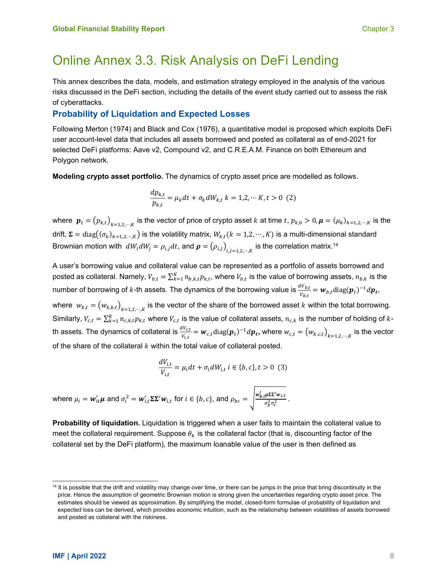## Online Annex 3.3. Risk Analysis on DeFi Lending

This annex describes the data, models, and estimation strategy employed in the analysis of the various risks discussed in the DeFi section, including the details of the event study carried out to assess the risk of cyberattacks.

#### **Probability of Liquidation and Expected Losses**

Following Merton (1974) and Black and Cox (1976), a quantitative model is proposed which exploits DeFi user account-level data that includes all assets borrowed and posted as collateral as of end-2021 for selected DeFi platforms: Aave v2, Compound v2, and C.R.E.A.M. Finance on both Ethereum and Polygon network.

**Modeling crypto asset portfolio.** The dynamics of crypto asset price are modelled as follows.

$$
\frac{dp_{k,t}}{p_{k,t}} = \mu_k dt + \sigma_k dW_{k,t} \ k = 1, 2, \cdots K, t > 0 \ (2)
$$

where  $\bm{p}_t=\big(p_{k,t}\big)_{k=1,2,\cdots,K}$  is the vector of price of crypto asset  $k$  at time  $t$ ,  $p_{k,0}>0$ ,  $\bm{\mu}=(\mu_k)_{k=1,2,\cdots,K}$  is the drift,  $\Sigma = diag((\sigma_k)_{k=1,2,\dots,K})$  is the volatility matrix,  $W_{k,t}$  ( $k=1,2,\dots,K$ ) is a multi-dimensional standard Brownian motion with  $\ dW_idW_j=\rho_{i,j}dt,$  and  $\bm{\rho}=\big(\rho_{i,j}\big)_{i,j=1,2,...,K}$  is the correlation matrix. $^{14}$ 

A user's borrowing value and collateral value can be represented as a portfolio of assets borrowed and posted as collateral. Namely,  $V_{b,t} = \sum_{k=1}^{K} n_{b,k,t} p_{k,t}$ , where  $V_{b,t}$  is the value of borrowing assets,  $n_{b,k}$  is the number of borrowing of  $k$ -th assets. The dynamics of the borrowing value is  $\frac{dV_{b,t}}{V_{b,t}}$   $=$   $\bm{w}_{b,t}$ diag $(\bm{p}_t)^{-1}d\bm{p}_t$ , where  $\;w_{b,t}=\left(w_{k,b,t}\right)_{k=1,2,\cdots,K}$  is the vector of the share of the borrowed asset  $k$  within the total borrowing. Similarly,  $V_{c,t} = \sum_{k=1}^{K} n_{c,k,t} p_{k,t}$  where  $V_{c,t}$  is the value of collateral assets,  $n_{c,k}$  is the number of holding of kth assets. The dynamics of collateral is  $\frac{dV_{c,t}}{V_{c,t}}=w_{c,t}{\rm diag}(\bm p_t)^{-1}d\bm p_t$ , where  $w_{c,t}=\big(w_{k,c,t}\big)_{k=1,2,\cdots,K}$  is the vector

of the share of the collateral  $k$  within the total value of collateral posted.

$$
\frac{dV_{i,t}}{V_{i,t}} = \mu_i dt + \sigma_i dW_{i,t} \ i \in \{b, c\}, t > 0 \ (3)
$$

where  $\mu_i = \bm{w}_{it}'\bm{\mu}$  and  $\sigma_i^2 = \bm{w}_{i,t}'\bm{\Sigma}\bm{\Sigma}'\bm{w}_{i,t}$  for  $i\in\{b,c\},$  and  $\rho_{bc} = \sqrt{\frac{\bm{w}_{b,t}'\rho\bm{\Sigma}'\bm{w}_{c,t}}{\sigma^2\sigma^2}}$  $\frac{\sigma_b^2 \sigma_c^2}{\sigma_b^2 \sigma_c^2}$ .

**Probability of liquidation.** Liquidation is triggered when a user fails to maintain the collateral value to meet the collateral requirement. Suppose  $\theta_k$  is the collateral factor (that is, discounting factor of the collateral set by the DeFi platform), the maximum loanable value of the user is then defined as

<sup>&</sup>lt;sup>14</sup> It is possible that the drift and volatility may change over time, or there can be jumps in the price that bring discontinuity in the price. Hence the assumption of geometric Brownian motion is strong given the uncertainties regarding crypto asset price. The estimates should be viewed as approximation. By simplifying the model, closed-form formulae of probability of liquidation and expected loss can be derived, which provides economic intuition, such as the relationship between volatilities of assets borrowed and posted as collateral with the riskiness.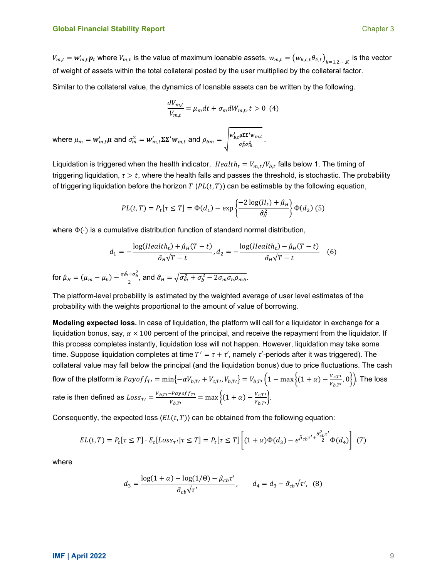$V_{m,t} = \bm{w}'_{m,t} \bm{p}_t$  where  $V_{m,t}$  is the value of maximum loanable assets,  $w_{m,t} = \big(w_{k,c,t} \theta_{k,t}\big)_{k=1,2,\cdots,K}$  is the vector of weight of assets within the total collateral posted by the user multiplied by the collateral factor.

Similar to the collateral value, the dynamics of loanable assets can be written by the following.

$$
\frac{dV_{m,t}}{V_{m,t}} = \mu_m dt + \sigma_m dW_{m,t}, t > 0
$$
 (4)

where  $\mu_m=w_{m,t}'\boldsymbol{\mu}$  and  $\sigma_m^2=w_{m,t}'\Sigma\Sigma'w_{m,t}$  and  $\rho_{bm}=\left|\frac{{\boldsymbol{w}}_{b,t}'\rho\Sigma\Sigma'w_{m,t}}{\sigma^2\sigma^2}\right|$  $\frac{\sigma_b^2 \sigma_m^2}{\sigma_b^2 \sigma_m^2}$ .

Liquidation is triggered when the health indicator,  $Health_t = V_{m,t}/V_{b,t}$  falls below 1. The timing of triggering liquidation,  $\tau > t$ , where the health falls and passes the threshold, is stochastic. The probability of triggering liquidation before the horizon  $T(PL(t,T))$  can be estimable by the following equation,

$$
PL(t, T) = P_t[\tau \le T] = \Phi(d_1) - \exp\left\{\frac{-2\log(H_t) + \hat{\mu}_H}{\hat{\sigma}_H^2}\right\}\Phi(d_2)
$$
(5)

where  $\Phi(\cdot)$  is a cumulative distribution function of standard normal distribution,

$$
d_1 = -\frac{\log(Health_t) + \hat{\mu}_H(T - t)}{\hat{\sigma}_H \sqrt{T - t}}, d_2 = -\frac{\log(Health_t) - \hat{\mu}_H(T - t)}{\hat{\sigma}_H \sqrt{T - t}} \quad (6)
$$

for  $\hat{\mu}_H = (\mu_m - \mu_b) - \frac{\sigma_m^2 - \sigma_b^2}{2}$ , and  $\hat{\sigma}_H = \sqrt{\sigma_m^2 + \sigma_b^2 - 2\sigma_m \sigma_b \rho_{mb}}$ .

The platform-level probability is estimated by the weighted average of user level estimates of the probability with the weights proportional to the amount of value of borrowing.

**Modeling expected loss.** In case of liquidation, the platform will call for a liquidator in exchange for a liquidation bonus, say,  $\alpha \times 100$  percent of the principal, and receive the repayment from the liquidator. If this process completes instantly, liquidation loss will not happen. However, liquidation may take some time. Suppose liquidation completes at time  $T' = \tau + \tau'$ , namely  $\tau'$ -periods after it was triggered). The collateral value may fall below the principal (and the liquidation bonus) due to price fluctuations. The cash flow of the platform is  $Payoff_{T}$ ,  $=$   $\min\{-\alpha V_{b,T}$ ,  $+V_{c,T}$ ,  $V_{b,T'}\}=V_{b,T'}\left(1-\max\left\{(1+\alpha)-\frac{V_{c,T'}}{V_{b,T'}} ,0\right\}\right)$ . The loss rate is then defined as  $Loss_{T} = \frac{V_{b,T} - Payoff_{T}}{V_{b,T'}} = \max \Big\{ (1 + \alpha) - \frac{V_{c,T}}{V_{b,T'}} \Big\}.$ 

Consequently, the expected loss  $(EL(t, T))$  can be obtained from the following equation:

$$
EL(t,T) = P_t[\tau \le T] \cdot E_t[Loss_T | \tau \le T] = P_t[\tau \le T] \left[ (1+\alpha)\Phi(d_3) - e^{\hat{\mu}_{cb}\tau' + \frac{\hat{\sigma}_{cb}^2\tau'}{2}}\Phi(d_4) \right] \tag{7}
$$

where

$$
d_3 = \frac{\log(1+\alpha) - \log(1/\theta) - \hat{\mu}_{cb}\tau'}{\hat{\sigma}_{cb}\sqrt{\tau'}}, \qquad d_4 = d_3 - \hat{\sigma}_{cb}\sqrt{\tau'}, \tag{8}
$$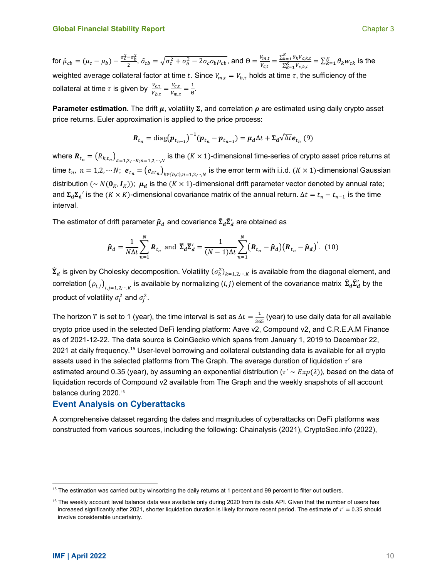for  $\hat{\mu}_{cb} = (\mu_c - \mu_b) - \frac{\sigma_c^2 - \sigma_b^2}{2}, \ \hat{\sigma}_{cb} = \sqrt{\sigma_c^2 + \sigma_b^2 - 2\sigma_c\sigma_b\rho_{cb}}, \text{ and } \Theta = \frac{v_{m,t}}{v_{c,t}} = \frac{\sum_{k=1}^{K} \theta_k v_{c,k,t}}{\sum_{k=1}^{K} v_{c,k,t}} = \sum_{k=1}^{K} \theta_k w_{ck}$  is the weighted average collateral factor at time t. Since  $V_{m,\tau} = V_{b,\tau}$  holds at time  $\tau$ , the sufficiency of the collateral at time  $\tau$  is given by  $\frac{V_{C,\tau}}{V_{b,\tau}} = \frac{V_{C,\tau}}{V_{m,\tau}} = \frac{1}{\Theta}$ .

**Parameter estimation.** The drift  $\mu$ , volatility  $\Sigma$ , and correlation  $\rho$  are estimated using daily crypto asset price returns. Euler approximation is applied to the price process:

$$
\boldsymbol{R}_{t_n} = \text{diag}(\boldsymbol{p}_{t_{n-1}})^{-1}(\boldsymbol{p}_{t_n} - \boldsymbol{p}_{t_{n-1}}) = \boldsymbol{\mu}_d \Delta t + \boldsymbol{\Sigma}_d \sqrt{\Delta t} \boldsymbol{e}_{t_n} \tag{9}
$$

where  $\bm{R}_{t_n}=\big(R_{k,t_n}\big)_{k=1,2,\cdots K; n=1,2,\cdots,N}$  is the  $(K\times 1)$ -dimensional time-series of crypto asset price returns at time  $t_n$ ,  $n=1,2, \cdots N;$   $\bm{e}_{t_n}=\left(e_{kt_n}\right)_{k\in\{b,c\},n=1,2,\cdots,N}$  is the error term with i.i.d.  $(K\times1)$ -dimensional Gaussian distribution (∼  $N(\mathbf{0}_K, I_K)$ );  $\mu_d$  is the  $(K \times 1)$ -dimensional drift parameter vector denoted by annual rate; and  $\Sigma_d \Sigma_d'$  is the  $(K \times K)$ -dimensional covariance matrix of the annual return.  $\Delta t = t_n - t_{n-1}$  is the time interval.

The estimator of drift parameter  $\widehat{\pmb{\mu}}_d$  and covariance  $\widehat{\pmb{\Sigma}}_d\widehat{\pmb{\Sigma}}'_d$  are obtained as

$$
\hat{\boldsymbol{\mu}}_d = \frac{1}{N\Delta t} \sum_{n=1}^N \boldsymbol{R}_{t_n} \text{ and } \hat{\boldsymbol{\Sigma}}_d \hat{\boldsymbol{\Sigma}}'_d = \frac{1}{(N-1)\Delta t} \sum_{n=1}^N (\boldsymbol{R}_{t_n} - \hat{\boldsymbol{\mu}}_d) (\boldsymbol{R}_{t_n} - \hat{\boldsymbol{\mu}}_d)' . \tag{10}
$$

 $\widehat{\Sigma}_d$  is given by Cholesky decomposition. Volatility  $(\sigma_k^2)_{k=1,2,\cdots,K}$  is available from the diagonal element, and correlation  $\big(\rho_{i,j}\big)_{i,j=1,2,\cdots,K}$  is available by normalizing  $(i,j)$  element of the covariance matrix  $\widehat{\bf \Sigma}_d\widehat{\bf \Sigma}_d'$  by the product of volatility  $\sigma_i^2$  and  $\sigma_j^2$ .

The horizon  $T$  is set to 1 (year), the time interval is set as  $\Delta t=\frac{1}{365}$  (year) to use daily data for all available crypto price used in the selected DeFi lending platform: Aave v2, Compound v2, and C.R.E.A.M Finance as of 2021-12-22. The data source is CoinGecko which spans from January 1, 2019 to December 22, 2021 at daily frequency.<sup>15</sup> User-level borrowing and collateral outstanding data is available for all crypto assets used in the selected platforms from The Graph. The average duration of liquidation  $\tau'$  are estimated around 0.35 (year), by assuming an exponential distribution ( $\tau' \sim Exp(\lambda)$ ), based on the data of liquidation records of Compound v2 available from The Graph and the weekly snapshots of all account balance during 2020.16

#### **Event Analysis on Cyberattacks**

A comprehensive dataset regarding the dates and magnitudes of cyberattacks on DeFi platforms was constructed from various sources, including the following: Chainalysis (2021), CryptoSec.info (2022),

<sup>&</sup>lt;sup>15</sup> The estimation was carried out by winsorizing the daily returns at 1 percent and 99 percent to filter out outliers.

 $16$  The weekly account level balance data was available only during 2020 from its data API. Given that the number of users has increased significantly after 2021, shorter liquidation duration is likely for more recent period. The estimate of  $\tau' = 0.35$  should involve considerable uncertainty.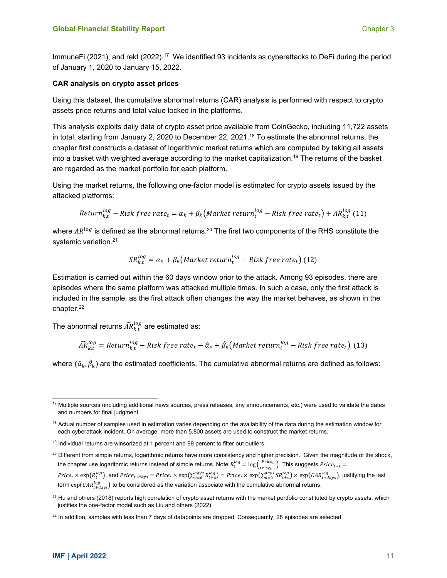ImmuneFi (2021), and rekt (2022).<sup>17</sup> We identified 93 incidents as cyberattacks to DeFi during the period of January 1, 2020 to January 15, 2022.

#### **CAR analysis on crypto asset prices**

Using this dataset, the cumulative abnormal returns (CAR) analysis is performed with respect to crypto assets price returns and total value locked in the platforms.

This analysis exploits daily data of crypto asset price available from CoinGecko, including 11,722 assets in total, starting from January 2, 2020 to December 22, 2021.18 To estimate the abnormal returns, the chapter first constructs a dataset of logarithmic market returns which are computed by taking all assets into a basket with weighted average according to the market capitalization.<sup>19</sup> The returns of the basket are regarded as the market portfolio for each platform.

Using the market returns, the following one-factor model is estimated for crypto assets issued by the attacked platforms:

Return<sup>*log*</sup><sub>*k,t*</sub> – Risk free rate<sub>t</sub> = 
$$
\alpha_k + \beta_k
$$
 (Market return<sup>*log*</sup><sub>*t*</sub> – Risk free rate<sub>t</sub>) +  $AR_{k,t}^{log}$  (11)

where  $AR^{log}$  is defined as the abnormal returns.<sup>20</sup> The first two components of the RHS constitute the systemic variation.<sup>21</sup>

$$
SR_{k,t}^{log} = \alpha_k + \beta_k \left( Market \ return_t^{log} - Risk \ free \ rate_t \right) (12)
$$

Estimation is carried out within the 60 days window prior to the attack. Among 93 episodes, there are episodes where the same platform was attacked multiple times. In such a case, only the first attack is included in the sample, as the first attack often changes the way the market behaves, as shown in the chapter.22

The abnormal returns  $\widehat{AR}^{log}_{k,t}$  are estimated as:

$$
\widehat{AR}_{k,t}^{log} = Return_{k,t}^{log} - Risk\ free\ rate_t - \widehat{\alpha}_k + \widehat{\beta}_k \left( Market\ return_t^{log} - Risk\ free\ rate_t \right) \ (13)
$$

where  $(\hat \alpha_k, \hat \beta_k)$  are the estimated coefficients. The cumulative abnormal returns are defined as follows:

 $^{20}$  Different from simple returns, logarithmic returns have more consistency and higher precision. Given the magnitude of the shock, the chapter use logarithmic returns instead of simple returns. Note  $R_t^{log} = \log\left(\frac{Price_t}{Price_{t-1}}\right)$ . This suggests  $Price_{t+1} =$  $Price_t \times \exp(R^{log}_t)$ , and  $Price_{t+days} = Price_t \times \exp(\sum_{u=0}^{days} R^{log}_{t+u}) = Price_t \times \exp(\sum_{u=0}^{days} SR^{log}_{t+u}) \times \exp(CAR^{log}_{t+days})$ , justifying the last term  $\exp(CAR^{log}_{t+days})$  to be considered as the variation associate with the cumulative abnormal returns.

<sup>17</sup> Multiple sources (including additional news sources, press releases, any announcements, etc.) were used to validate the dates and numbers for final judgment.

 $18$  Actual number of samples used in estimation varies depending on the availability of the data during the estimation window for each cyberattack incident. On average, more than 5,800 assets are used to construct the market returns.

 $19$  Individual returns are winsorized at 1 percent and 99 percent to filter out outliers.

 $21$  Hu and others (2018) reports high correlation of crypto asset returns with the market portfolio constituted by crypto assets, which justifies the one-factor model such as Liu and others (2022).

 $22$  In addition, samples with less than 7 days of datapoints are dropped. Consequently, 28 episodes are selected.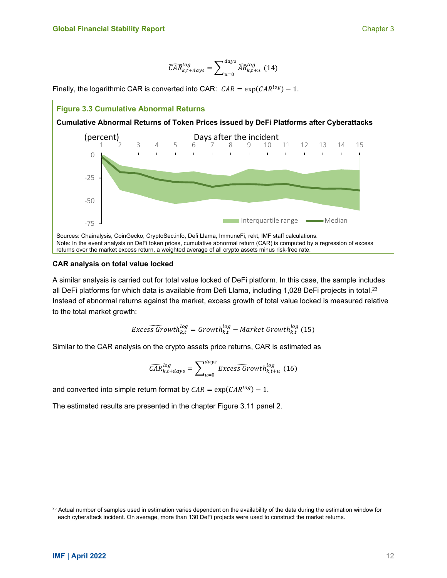$$
\widehat{CAR}_{k,t+days}^{log} = \sum_{u=0}^{days} \widehat{AR}_{k,t+u}^{log} (14)
$$

Finally, the logarithmic CAR is converted into CAR:  $CAR = \exp(CAR^{\log}) - 1$ .



#### **CAR analysis on total value locked**

A similar analysis is carried out for total value locked of DeFi platform. In this case, the sample includes all DeFi platforms for which data is available from Defi Llama, including  $1,028$  DeFi projects in total.<sup>23</sup> Instead of abnormal returns against the market, excess growth of total value locked is measured relative to the total market growth:

$$
Excess\widehat{Growth}^{log}_{k,t} = Growth^{log}_{k,t} - Market\, Growth^{log}_{k,t} \ (15)
$$

Similar to the CAR analysis on the crypto assets price returns, CAR is estimated as

$$
\widehat{CAR}_{k,t+days}^{log} = \sum_{u=0}^{days} Excess\widehat{Growth}_{k,t+u}^{log} \quad (16)
$$

and converted into simple return format by  $CAR = \exp(CAR^{\log}) - 1$ .

The estimated results are presented in the chapter Figure 3.11 panel 2.

<sup>&</sup>lt;sup>23</sup> Actual number of samples used in estimation varies dependent on the availability of the data during the estimation window for each cyberattack incident. On average, more than 130 DeFi projects were used to construct the market returns.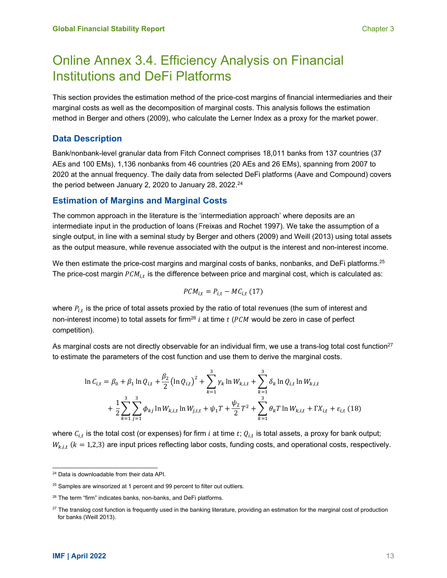# Online Annex 3.4. Efficiency Analysis on Financial Institutions and DeFi Platforms

This section provides the estimation method of the price-cost margins of financial intermediaries and their marginal costs as well as the decomposition of marginal costs. This analysis follows the estimation method in Berger and others (2009), who calculate the Lerner Index as a proxy for the market power.

### **Data Description**

Bank/nonbank-level granular data from Fitch Connect comprises 18,011 banks from 137 countries (37 AEs and 100 EMs), 1,136 nonbanks from 46 countries (20 AEs and 26 EMs), spanning from 2007 to 2020 at the annual frequency. The daily data from selected DeFi platforms (Aave and Compound) covers the period between January 2, 2020 to January 28, 2022. $24$ 

### **Estimation of Margins and Marginal Costs**

The common approach in the literature is the 'intermediation approach' where deposits are an intermediate input in the production of loans (Freixas and Rochet 1997). We take the assumption of a single output, in line with a seminal study by Berger and others (2009) and Weill (2013) using total assets as the output measure, while revenue associated with the output is the interest and non-interest income.

We then estimate the price-cost margins and marginal costs of banks, nonbanks, and DeFi platforms.<sup>25</sup> The price-cost margin  $PCM_{it}$  is the difference between price and marginal cost, which is calculated as:

$$
PCM_{i,t} = P_{i,t} - MC_{i,t} (17)
$$

where  $P_{i,t}$  is the price of total assets proxied by the ratio of total revenues (the sum of interest and non-interest income) to total assets for firm<sup>26</sup> i at time  $t$  (PCM would be zero in case of perfect competition).

As marginal costs are not directly observable for an individual firm, we use a trans-log total cost function<sup>27</sup> to estimate the parameters of the cost function and use them to derive the marginal costs.

$$
\ln C_{i,t} = \beta_0 + \beta_1 \ln Q_{i,t} + \frac{\beta_2}{2} (\ln Q_{i,t})^2 + \sum_{k=1}^3 \gamma_k \ln W_{k,i,t} + \sum_{k=1}^3 \delta_k \ln Q_{i,t} \ln W_{k,i,t}
$$
  
+  $\frac{1}{2} \sum_{k=1}^3 \sum_{j=1}^3 \phi_{kj} \ln W_{k,i,t} \ln W_{j,i,t} + \psi_1 T + \frac{\psi_2}{2} T^2 + \sum_{k=1}^3 \theta_k T \ln W_{k,i,t} + \Gamma X_{i,t} + \varepsilon_{i,t}$  (18)

where  $C_{i,t}$  is the total cost (or expenses) for firm *i* at time *t*;  $Q_{i,t}$  is total assets, a proxy for bank output;  $W_{k,i,t}$  ( $k = 1,2,3$ ) are input prices reflecting labor costs, funding costs, and operational costs, respectively.

<sup>&</sup>lt;sup>24</sup> Data is downloadable from their data API.

<sup>&</sup>lt;sup>25</sup> Samples are winsorized at 1 percent and 99 percent to filter out outliers.

<sup>&</sup>lt;sup>26</sup> The term "firm" indicates banks, non-banks, and DeFi platforms.

<sup>&</sup>lt;sup>27</sup> The translog cost function is frequently used in the banking literature, providing an estimation for the marginal cost of production for banks (Weill 2013).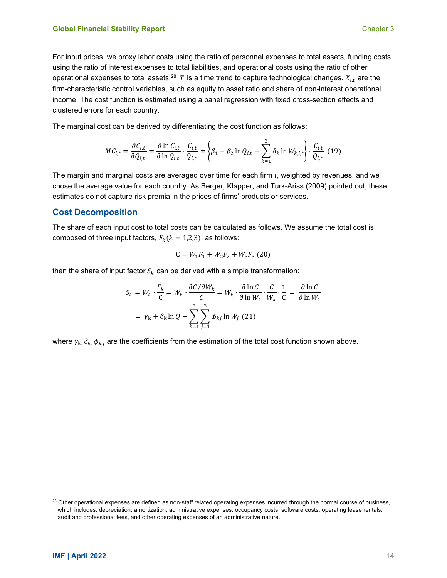For input prices, we proxy labor costs using the ratio of personnel expenses to total assets, funding costs using the ratio of interest expenses to total liabilities, and operational costs using the ratio of other operational expenses to total assets.<sup>28</sup> T is a time trend to capture technological changes.  $X_{i,t}$  are the firm-characteristic control variables, such as equity to asset ratio and share of non-interest operational income. The cost function is estimated using a panel regression with fixed cross-section effects and clustered errors for each country.

The marginal cost can be derived by differentiating the cost function as follows:

$$
MC_{i,t} = \frac{\partial C_{i,t}}{\partial Q_{i,t}} = \frac{\partial \ln C_{i,t}}{\partial \ln Q_{i,t}} \cdot \frac{C_{i,t}}{Q_{i,t}} = \left\{\beta_1 + \beta_2 \ln Q_{i,t} + \sum_{k=1}^3 \delta_k \ln W_{k,i,t}\right\} \cdot \frac{C_{i,t}}{Q_{i,t}} \tag{19}
$$

The margin and marginal costs are averaged over time for each firm  $i$ , weighted by revenues, and we chose the average value for each country. As Berger, Klapper, and Turk-Ariss (2009) pointed out, these estimates do not capture risk premia in the prices of firms' products or services.

#### **Cost Decomposition**

The share of each input cost to total costs can be calculated as follows. We assume the total cost is composed of three input factors,  $F_k (k = 1,2,3)$ , as follows:

$$
C = W_1 F_1 + W_2 F_2 + W_3 F_3 (20)
$$

then the share of input factor  $S_k$  can be derived with a simple transformation:

$$
S_k = W_k \cdot \frac{F_k}{C} = W_k \cdot \frac{\partial C/\partial W_k}{C} = W_k \cdot \frac{\partial \ln C}{\partial \ln W_k} \cdot \frac{C}{W_k} \cdot \frac{1}{C} = \frac{\partial \ln C}{\partial \ln W_k}
$$

$$
= \gamma_k + \delta_k \ln Q + \sum_{k=1}^3 \sum_{j=1}^3 \phi_{kj} \ln W_j \quad (21)
$$

where  $\gamma_k$ ,  $\delta_k$ ,  $\phi_k$  are the coefficients from the estimation of the total cost function shown above.

<sup>&</sup>lt;sup>28</sup> Other operational expenses are defined as non-staff related operating expenses incurred through the normal course of business, which includes, depreciation, amortization, administrative expenses, occupancy costs, software costs, operating lease rentals, audit and professional fees, and other operating expenses of an administrative nature.